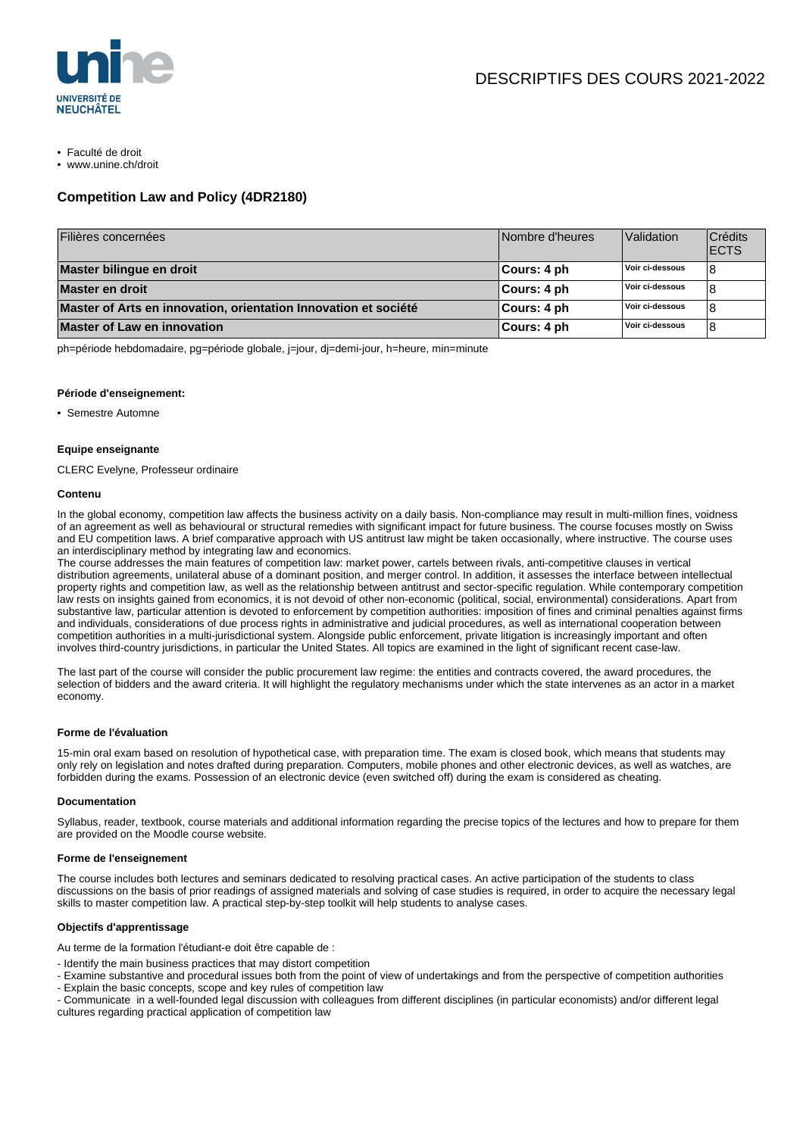

- Faculté de droit
- www.unine.ch/droit

### **Competition Law and Policy (4DR2180)**

| Filières concernées                                             | Nombre d'heures | <b>Validation</b> | Crédits<br><b>IECTS</b> |
|-----------------------------------------------------------------|-----------------|-------------------|-------------------------|
| Master bilingue en droit                                        | ∣Cours: 4 ph    | Voir ci-dessous   |                         |
| Master en droit                                                 | Cours: 4 ph     | Voir ci-dessous   |                         |
| Master of Arts en innovation, orientation Innovation et société | Cours: 4 ph     | Voir ci-dessous   |                         |
| <b>Master of Law en innovation</b>                              | Cours: 4 ph     | Voir ci-dessous   | 8                       |

ph=période hebdomadaire, pg=période globale, j=jour, dj=demi-jour, h=heure, min=minute

#### **Période d'enseignement:**

• Semestre Automne

#### **Equipe enseignante**

CLERC Evelyne, Professeur ordinaire

#### **Contenu**

In the global economy, competition law affects the business activity on a daily basis. Non-compliance may result in multi-million fines, voidness of an agreement as well as behavioural or structural remedies with significant impact for future business. The course focuses mostly on Swiss and EU competition laws. A brief comparative approach with US antitrust law might be taken occasionally, where instructive. The course uses an interdisciplinary method by integrating law and economics.

The course addresses the main features of competition law: market power, cartels between rivals, anti-competitive clauses in vertical distribution agreements, unilateral abuse of a dominant position, and merger control. In addition, it assesses the interface between intellectual property rights and competition law, as well as the relationship between antitrust and sector-specific regulation. While contemporary competition law rests on insights gained from economics, it is not devoid of other non-economic (political, social, environmental) considerations. Apart from substantive law, particular attention is devoted to enforcement by competition authorities: imposition of fines and criminal penalties against firms and individuals, considerations of due process rights in administrative and judicial procedures, as well as international cooperation between competition authorities in a multi-jurisdictional system. Alongside public enforcement, private litigation is increasingly important and often involves third-country jurisdictions, in particular the United States. All topics are examined in the light of significant recent case-law.

The last part of the course will consider the public procurement law regime: the entities and contracts covered, the award procedures, the selection of bidders and the award criteria. It will highlight the regulatory mechanisms under which the state intervenes as an actor in a market economy.

#### **Forme de l'évaluation**

15-min oral exam based on resolution of hypothetical case, with preparation time. The exam is closed book, which means that students may only rely on legislation and notes drafted during preparation. Computers, mobile phones and other electronic devices, as well as watches, are forbidden during the exams. Possession of an electronic device (even switched off) during the exam is considered as cheating.

#### **Documentation**

Syllabus, reader, textbook, course materials and additional information regarding the precise topics of the lectures and how to prepare for them are provided on the Moodle course website.

#### **Forme de l'enseignement**

The course includes both lectures and seminars dedicated to resolving practical cases. An active participation of the students to class discussions on the basis of prior readings of assigned materials and solving of case studies is required, in order to acquire the necessary legal skills to master competition law. A practical step-by-step toolkit will help students to analyse cases.

#### **Objectifs d'apprentissage**

Au terme de la formation l'étudiant-e doit être capable de :

- Identify the main business practices that may distort competition

- Examine substantive and procedural issues both from the point of view of undertakings and from the perspective of competition authorities
- Explain the basic concepts, scope and key rules of competition law

- Communicate in a well-founded legal discussion with colleagues from different disciplines (in particular economists) and/or different legal cultures regarding practical application of competition law